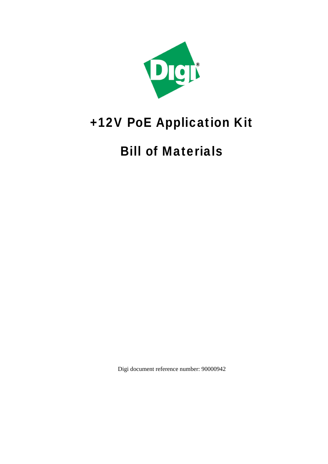

## +12V PoE Application Kit

## Bill of Materials

Digi document reference number: 90000942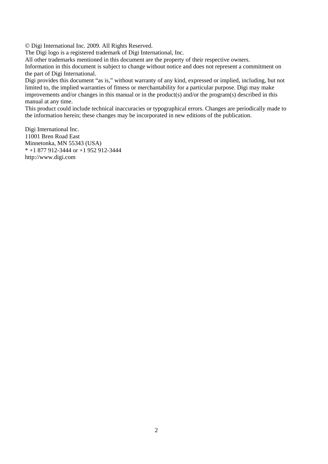© Digi International Inc. 2009. All Rights Reserved.

The Digi logo is a registered trademark of Digi International, Inc.

All other trademarks mentioned in this document are the property of their respective owners.

Information in this document is subject to change without notice and does not represent a commitment on the part of Digi International.

Digi provides this document "as is," without warranty of any kind, expressed or implied, including, but not limited to, the implied warranties of fitness or merchantability for a particular purpose. Digi may make improvements and/or changes in this manual or in the product(s) and/or the program(s) described in this manual at any time.

This product could include technical inaccuracies or typographical errors. Changes are periodically made to the information herein; these changes may be incorporated in new editions of the publication.

Digi International Inc. 11001 Bren Road East Minnetonka, MN 55343 (USA) \* +1 877 912-3444 or +1 952 912-3444 http://www.digi.com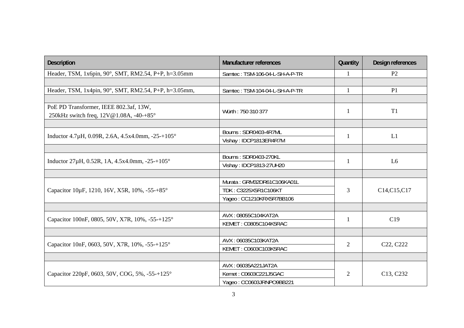| <b>Description</b>                                    | <b>Manufacturer references</b> | Quantity       | Design references                  |
|-------------------------------------------------------|--------------------------------|----------------|------------------------------------|
| Header, TSM, 1x6pin, 90°, SMT, RM2.54, P+P, h=3.05mm  | Samtec: TSM-106-04-L-SH-A-P-TR | 1              | P <sub>2</sub>                     |
|                                                       |                                |                |                                    |
| Header, TSM, 1x4pin, 90°, SMT, RM2.54, P+P, h=3.05mm, | Samtec: TSM-104-04-L-SH-A-P-TR | $\mathbf{1}$   | P <sub>1</sub>                     |
|                                                       |                                |                |                                    |
| PoE PD Transformer, IEEE 802.3af, 13W,                | Würth: 750 310 377             | 1              | T <sub>1</sub>                     |
| 250kHz switch freq, 12V@1.08A, -40-+85°               |                                |                |                                    |
|                                                       |                                |                |                                    |
| Inductor 4.7µH, 0.09R, 2.6A, 4.5x4.0mm, -25-+105°     | Bourns: SDR0403-4R7ML          | 1              | L1                                 |
|                                                       | Vishay: IDCP1813ER4R7M         |                |                                    |
|                                                       |                                |                |                                    |
| Inductor $27\mu$ H, 0.52R, 1A, 4.5x4.0mm, -25-+105°   | Bourns: SDR0403-270KL          | 1              | L <sub>6</sub>                     |
|                                                       | Vishay: IDCP1813-27UH20        |                |                                    |
|                                                       |                                |                |                                    |
|                                                       | Murata: GRM32DR61C106KA01L     |                | C14,C15,C17                        |
| Capacitor 10µF, 1210, 16V, X5R, 10%, -55-+85°         | TDK: C3225X5R1C106KT           | $\overline{3}$ |                                    |
|                                                       | Yageo: CC1210KRX5R7BB106       |                |                                    |
|                                                       |                                |                |                                    |
| Capacitor 100nF, 0805, 50V, X7R, 10%, -55-+125°       | AVX: 08055C104KAT2A            | 1              | C19                                |
|                                                       | KEMET: C0805C104K5RAC          |                |                                    |
|                                                       |                                |                |                                    |
| Capacitor 10nF, 0603, 50V, X7R, 10%, -55-+125°        | AVX: 06035C103KAT2A            | $\overline{2}$ | C <sub>22</sub> , C <sub>222</sub> |
|                                                       | KEMET: C0603C103K5RAC          |                |                                    |
|                                                       |                                |                |                                    |
| Capacitor 220pF, 0603, 50V, COG, 5%, -55-+125°        | AVX: 06035A221JAT2A            |                | C13, C232                          |
|                                                       | Kemet: C0603C221J5GAC          | $\overline{2}$ |                                    |
|                                                       | Yageo: CC0603JRNPO9BB221       |                |                                    |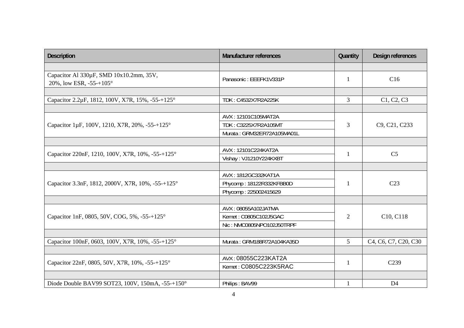| <b>Description</b>                                                           | <b>Manufacturer references</b> | Quantity       | Design references                                                                    |
|------------------------------------------------------------------------------|--------------------------------|----------------|--------------------------------------------------------------------------------------|
|                                                                              |                                |                |                                                                                      |
| Capacitor Al 330µF, SMD 10x10.2mm, 35V,<br>20%, low ESR, -55-+105 $^{\circ}$ | Panasonic: EEEFK1V331P         | $\mathbf{1}$   | C16                                                                                  |
|                                                                              |                                |                |                                                                                      |
| Capacitor 2.2μF, 1812, 100V, X7R, 15%, -55-+125°                             | TDK: C4532X7R2A225K            | 3              | C1, C2, C3                                                                           |
|                                                                              |                                |                |                                                                                      |
|                                                                              | AVX: 12101C105MAT2A            |                | C9, C21, C233                                                                        |
| Capacitor 1µF, 100V, 1210, X7R, 20%, -55-+125°                               | TDK: C3225X7R2A105MT           | $\mathfrak{Z}$ |                                                                                      |
|                                                                              | Murata: GRM32ER72A105MA01L     |                |                                                                                      |
|                                                                              |                                |                |                                                                                      |
| Capacitor 220nF, 1210, 100V, X7R, 10%, -55-+125°                             | AVX: 12101C224KAT2A            | 1              | C <sub>5</sub>                                                                       |
|                                                                              | Vishay: VJ1210Y224KXBT         |                |                                                                                      |
|                                                                              |                                |                |                                                                                      |
|                                                                              | AVX: 1812GC332KAT1A            | 1              | C <sub>23</sub>                                                                      |
| Capacitor 3.3nF, 1812, 2000V, X7R, 10%, -55-+125°                            | Phycomp: 18122R332KFBB0D       |                |                                                                                      |
|                                                                              | Phycomp: 225002415629          |                |                                                                                      |
|                                                                              |                                |                |                                                                                      |
|                                                                              | AVX: 08055A102JATMA            | $\overline{2}$ | C10, C118                                                                            |
| Capacitor 1nF, 0805, 50V, COG, 5%, -55-+125°                                 | Kemet: C0805C102J5GAC          |                |                                                                                      |
|                                                                              | Nic: NMC0805NPO102J50TRPF      |                |                                                                                      |
|                                                                              |                                |                |                                                                                      |
| Capacitor 100nF, 0603, 100V, X7R, 10%, -55-+125°                             | Murata: GRM188R72A104KA35D     | $\overline{5}$ | C <sub>4</sub> , C <sub>6</sub> , C <sub>7</sub> , C <sub>20</sub> , C <sub>30</sub> |
|                                                                              |                                |                |                                                                                      |
| Capacitor 22nF, 0805, 50V, X7R, 10%, -55-+125°                               | AVX: 08055C223KAT2A            | 1              | C <sub>239</sub>                                                                     |
|                                                                              | Kemet: C0805C223K5RAC          |                |                                                                                      |
| Diode Double BAV99 SOT23, 100V, 150mA, -55-+150°                             | Philips: BAV99                 | $\mathbf{1}$   | D <sub>4</sub>                                                                       |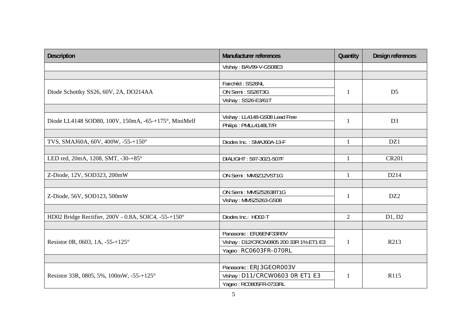| <b>Description</b>                                   | <b>Manufacturer references</b>         | Quantity       | Design references |
|------------------------------------------------------|----------------------------------------|----------------|-------------------|
|                                                      | Vishay: BAV99-V-GS08E3                 |                |                   |
|                                                      |                                        |                |                   |
|                                                      | Fairchild: SS26NL                      |                | D <sub>5</sub>    |
| Diode Schottky SS26, 60V, 2A, DO214AA                | ON Semi: SS26T3G                       | $\mathbf{1}$   |                   |
|                                                      | Vishay: SS26-E3/61T                    |                |                   |
|                                                      |                                        |                |                   |
| Diode LL4148 SOD80, 100V, 150mA, -65-+175°, MiniMelf | Vishay: LL4148-GS08 Lead Free          | $\mathbf{1}$   | D <sub>3</sub>    |
|                                                      | Philips: PMLL4148LT/R                  |                |                   |
|                                                      |                                        |                |                   |
| TVS, SMAJ60A, 60V, 400W, -55-+150°                   | Diodes Inc.: SMAJ60A-13-F              | $\mathbf{1}$   | DZ1               |
|                                                      |                                        |                |                   |
| LED red, 20mA, 1208, SMT, -30-+85°                   | DIALIGHT: 597-3021-507F                | 1              | <b>CR201</b>      |
|                                                      |                                        |                |                   |
| Z-Diode, 12V, SOD323, 200mW                          | ON Semi: MM3Z12VST1G                   | $\mathbf{1}$   | D <sub>214</sub>  |
|                                                      |                                        |                |                   |
| Z-Diode, 56V, SOD123, 500mW                          | ON Semi: MMSZ5263BT1G                  | 1              | DZ <sub>2</sub>   |
|                                                      | Vishay: MMSZ5263-GS08                  |                |                   |
|                                                      |                                        |                |                   |
| HD02 Bridge Rectifier, 200V - 0.8A, SOIC4, -55-+150° | Diodes Inc.: HD02-T                    | $\overline{2}$ | D1, D2            |
|                                                      |                                        |                |                   |
|                                                      | Panasonic: ERJ6ENF33R0V                |                | R213              |
| Resistor 0R, 0603, 1A, $-55+125^{\circ}$             | Vishay: D12/CRCW0805 200 33R 1% ET1 E3 | 1              |                   |
|                                                      | Yageo: RCO6O3FR-070RL                  |                |                   |
|                                                      |                                        |                |                   |
| Resistor 33R, 0805, 5%, 100mW, -55-+125°             | Panasonic: ERJ3GEOR003V                |                | R115              |
|                                                      | Vishay: D11/CRCW0603 OR ET1 E3         | 1              |                   |
|                                                      | Yageo: RC0805FR-0733RL                 |                |                   |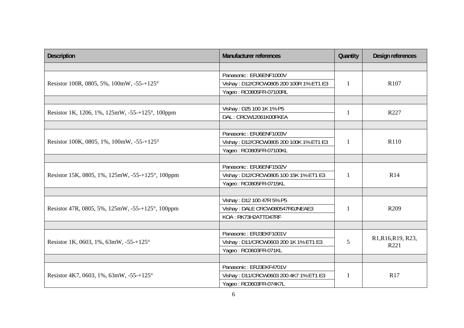| <b>Description</b>                               | <b>Manufacturer references</b>          | Quantity     | Design references          |
|--------------------------------------------------|-----------------------------------------|--------------|----------------------------|
|                                                  |                                         |              |                            |
|                                                  | Panasonic: ERJ6ENF1000V                 |              | R <sub>107</sub>           |
| Resistor 100R, 0805, 5%, 100mW, -55-+125°        | Vishay: D12/CRCW0805 200 100R 1% ET1 E3 | $\mathbf{1}$ |                            |
|                                                  | Yageo: RC0805FR-07100RL                 |              |                            |
|                                                  |                                         |              |                            |
|                                                  | Vishay: D25 100 1K 1% P5                |              | R227                       |
| Resistor 1K, 1206, 1%, 125mW, -55-+125°, 100ppm  | DAL: CRCW12061K00FKEA                   | 1            |                            |
|                                                  |                                         |              |                            |
|                                                  | Panasonic: ERJ6ENF1003V                 |              | R110                       |
| Resistor 100K, 0805, 1%, 100mW, -55-+125°        | Vishay: D12/CRCW0805 200 100K 1% ET1 E3 | 1            |                            |
|                                                  | Yageo: RC0805FR-07100KL                 |              |                            |
|                                                  |                                         |              |                            |
|                                                  | Panasonic: ERJ6ENF1502V                 | $\mathbf{1}$ | R14                        |
| Resistor 15K, 0805, 1%, 125mW, -55-+125°, 100ppm | Vishay: D12/CRCW0805 100 15K 1% ET1 E3  |              |                            |
|                                                  | Yageo: RC0805FR-0715KL                  |              |                            |
|                                                  |                                         |              |                            |
|                                                  | Vishay: D12 100 47R 5% P5               | 1            | R <sub>209</sub>           |
| Resistor 47R, 0805, 5%, 125mW, -55-+125°, 100ppm | Vishay: DALE CRCW080547R0JNEAE3         |              |                            |
|                                                  | KOA: RK73H2ATTD47RF                     |              |                            |
|                                                  |                                         |              |                            |
| Resistor 1K, 0603, 1%, 63mW, -55-+125°           | Panasonic: ERJ3EKF1001V                 | 5            | R1, R16, R19, R23,<br>R221 |
|                                                  | Vishay: D11/CRCW0603 200 1K 1% ET1 E3   |              |                            |
|                                                  | Yageo: RC0603FR-071KL                   |              |                            |
|                                                  |                                         |              |                            |
|                                                  | Panasonic: ERJ3EKF4701V                 | 1            | <b>R17</b>                 |
| Resistor 4K7, 0603, 1%, 63mW, -55-+125°          | Vishay: D11/CRCW0603 200 4K7 1% ET1 E3  |              |                            |
|                                                  | Yageo: RC0603FR-074K7L                  |              |                            |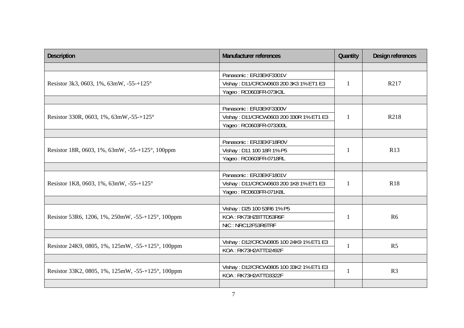| <b>Description</b>                                | <b>Manufacturer references</b>          | Quantity     | Design references |
|---------------------------------------------------|-----------------------------------------|--------------|-------------------|
|                                                   |                                         |              |                   |
|                                                   | Panasonic: ERJ3EKF3301V                 |              | R217              |
| Resistor 3k3, 0603, 1%, 63mW, -55-+125°           | Vishay: D11/CRCW0603 200 3K3 1% ET1 E3  | $\mathbf{1}$ |                   |
|                                                   | Yageo: RC0603FR-073K3L                  |              |                   |
|                                                   |                                         |              |                   |
|                                                   | Panasonic: ERJ3EKF3300V                 |              |                   |
| Resistor 330R, 0603, 1%, 63mW, -55-+125°          | Vishay: D11/CRCW0603 200 330R 1% ET1 E3 | 1            | R218              |
|                                                   | Yageo: RC0603FR-073300L                 |              |                   |
|                                                   |                                         |              |                   |
|                                                   | Panasonic: ERJ3EKF18R0V                 |              | R <sub>13</sub>   |
| Resistor 18R, 0603, 1%, 63mW, -55-+125°, 100ppm   | Vishay: D11 100 18R 1% P5               | 1            |                   |
|                                                   | Yageo: RC0603FR-0718RL                  |              |                   |
|                                                   |                                         |              |                   |
|                                                   | Panasonic: ERJ3EKF1801V                 | 1            | <b>R18</b>        |
| Resistor 1K8, 0603, 1%, 63mW, -55-+125°           | Vishay: D11/CRCW0603 200 1K8 1% ET1 E3  |              |                   |
|                                                   | Yageo: RC0603FR-071K8L                  |              |                   |
|                                                   |                                         |              |                   |
|                                                   | Vishay: D25 100 53R6 1% P5              | $\mathbf{1}$ | R <sub>6</sub>    |
| Resistor 53R6, 1206, 1%, 250mW, -55-+125°, 100ppm | KOA: RK73HZBTTD53R6F                    |              |                   |
|                                                   | NIC: NRC12F53R6TRF                      |              |                   |
|                                                   |                                         |              |                   |
|                                                   | Vishay: D12/CRCW0805 100 24K9 1% ET1 E3 | $\mathbf{1}$ | R <sub>5</sub>    |
| Resistor 24K9, 0805, 1%, 125mW, -55-+125°, 100ppm | KOA: RK73H2ATTD2492F                    |              |                   |
|                                                   |                                         |              |                   |
| Resistor 33K2, 0805, 1%, 125mW, -55-+125°, 100ppm | Vishay: D12/CRCW0805 100 33K2 1% ET1 E3 | $\mathbf{1}$ | R <sub>3</sub>    |
|                                                   | KOA: RK73H2ATTD3322F                    |              |                   |
|                                                   |                                         |              |                   |